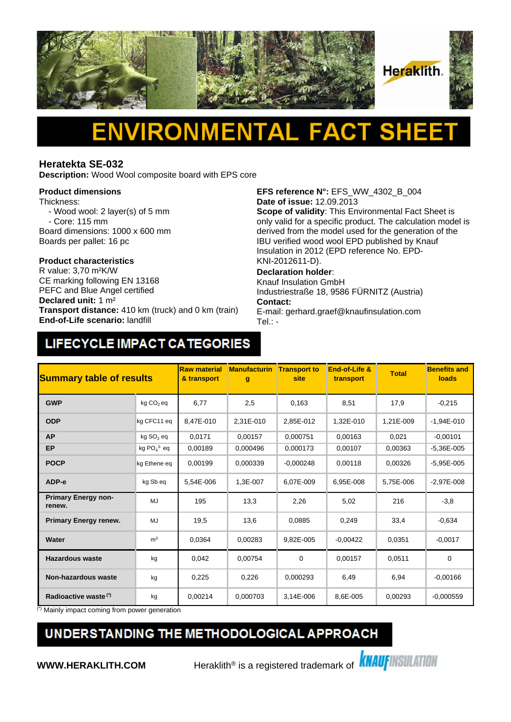

# Δ

### **Heratekta SE-032**

**Description:** Wood Wool composite board with EPS core

#### **Product dimensions**

Thickness:

- Wood wool: 2 layer(s) of 5 mm - Core: 115 mm
- Board dimensions: 1000 x 600 mm
- Boards per pallet: 16 pc

## **Product characteristics**

CE marking following EN 13168 PEFC and Blue Angel certified **Declared unit:** 1 m² **Transport distance:** 410 km (truck) and 0 km (train) **End-of-Life scenario:** landfill

**EFS reference N°:** EFS\_WW\_4302\_B\_004 **Date of issue:** 12.09.2013

**Scope of validity**: This Environmental Fact Sheet is only valid for a specific product. The calculation model is derived from the model used for the generation of the IBU verified wood wool EPD published by Knauf Insulation in 2012 (EPD reference No. EPD-KNI-2012611-D).

#### **Declaration holder**:

Knauf Insulation GmbH Industriestraße 18, 9586 FÜRNITZ (Austria) **Contact:** 

E-mail: gerhard.graef@knaufinsulation.com Tel.: -

# LIFECYCLE IMPACT CATEGORIES

| <b>Summary table of results</b>      |                       | <b>Raw material</b><br><b>Manufacturin</b><br>& transport<br>g |           | End-of-Life &<br><b>Transport to</b><br>site<br>transport |            | <b>Benefits and</b><br><b>Total</b><br><b>loads</b> |                |
|--------------------------------------|-----------------------|----------------------------------------------------------------|-----------|-----------------------------------------------------------|------------|-----------------------------------------------------|----------------|
| <b>GWP</b>                           | kg CO <sub>2</sub> eq | 6,77                                                           | 2,5       | 0,163                                                     | 8,51       | 17,9                                                | $-0,215$       |
| <b>ODP</b>                           | kg CFC11 eq           | 8.47E-010                                                      | 2,31E-010 | 2,85E-012                                                 | 1,32E-010  | 1,21E-009                                           | $-1,94E-010$   |
| <b>AP</b>                            | kg SO <sub>2</sub> eq | 0,0171                                                         | 0,00157   | 0,000751                                                  | 0,00163    | 0,021                                               | $-0,00101$     |
| EP                                   | kg $PO43$ eq          | 0,00189                                                        | 0,000496  | 0,000173                                                  | 0,00107    | 0.00363                                             | $-5,36E-005$   |
| <b>POCP</b>                          | kg Ethene eg          | 0.00199                                                        | 0.000339  | $-0,000248$                                               | 0.00118    | 0.00326                                             | $-5.95E - 005$ |
| ADP-e                                | kg Sb eq              | 5,54E-006                                                      | 1,3E-007  | 6.07E-009                                                 | 6.95E-008  | 5,75E-006                                           | $-2,97E-008$   |
| <b>Primary Energy non-</b><br>renew. | MJ                    | 195                                                            | 13,3      | 2,26                                                      | 5,02       | 216                                                 | $-3,8$         |
| <b>Primary Energy renew.</b>         | MJ                    | 19,5                                                           | 13,6      | 0,0885                                                    | 0,249      | 33,4                                                | $-0.634$       |
| Water                                | m <sup>3</sup>        | 0,0364                                                         | 0.00283   | 9,82E-005                                                 | $-0.00422$ | 0,0351                                              | $-0.0017$      |
| <b>Hazardous waste</b>               | kg                    | 0,042                                                          | 0,00754   | 0                                                         | 0,00157    | 0,0511                                              | $\mathbf 0$    |
| <b>Non-hazardous waste</b>           | kg                    | 0,225                                                          | 0,226     | 0,000293                                                  | 6,49       | 6,94                                                | $-0,00166$     |
| Radioactive waste <sup>(*)</sup>     | kg                    | 0,00214                                                        | 0,000703  | 3,14E-006                                                 | 8,6E-005   | 0,00293                                             | $-0,000559$    |

(\*) Mainly impact coming from power generation

### UNDERSTANDING THE METHODOLOGICAL APPROACH

**WWW.HERAKLITH.COM** Heraklith<sup>®</sup> is a registered trademark of **KNAUFINSULATION**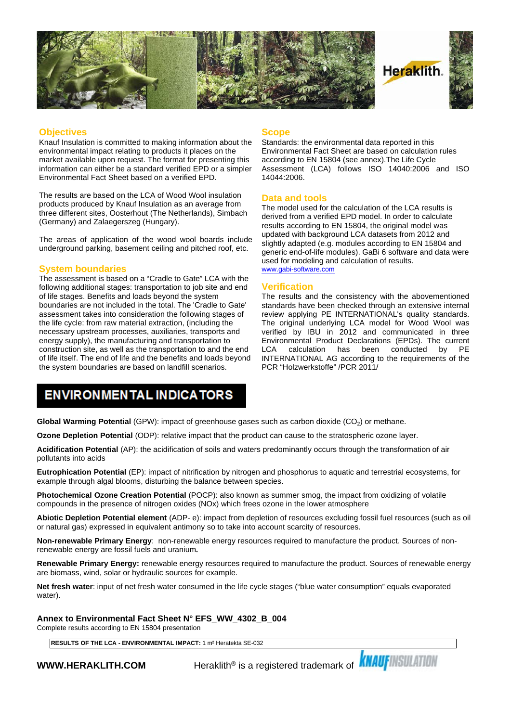

#### **Objectives**

Knauf Insulation is committed to making information about the environmental impact relating to products it places on the market available upon request. The format for presenting this information can either be a standard verified EPD or a simpler Environmental Fact Sheet based on a verified EPD.

The results are based on the LCA of Wood Wool insulation products produced by Knauf Insulation as an average from three different sites, Oosterhout (The Netherlands), Simbach (Germany) and Zalaegerszeg (Hungary).

The areas of application of the wood wool boards include underground parking, basement ceiling and pitched roof, etc.

#### **System boundaries**

The assessment is based on a "Cradle to Gate" LCA with the following additional stages: transportation to job site and end of life stages. Benefits and loads beyond the system boundaries are not included in the total. The 'Cradle to Gate' assessment takes into consideration the following stages of the life cycle: from raw material extraction, (including the necessary upstream processes, auxiliaries, transports and energy supply), the manufacturing and transportation to construction site, as well as the transportation to and the end LCA of life itself. The end of life and the benefits and loads beyond the system boundaries are based on landfill scenarios.

#### **Scope**

Standards: the environmental data reported in this Environmental Fact Sheet are based on calculation rules according to EN 15804 (see annex).The Life Cycle Assessment (LCA) follows ISO 14040:2006 and ISO 14044:2006.

#### **Data and tools**

The model used for the calculation of the LCA results is derived from a verified EPD model. In order to calculate results according to EN 15804, the original model was updated with background LCA datasets from 2012 and slightly adapted (e.g. modules according to EN 15804 and generic end-of-life modules). GaBi 6 software and data were used for modeling and calculation of results. [www.gabi-software.com](http://www.gabi-software.com)

#### **Verification**

The results and the consistency with the abovementioned standards have been checked through an extensive internal review applying PE INTERNATIONAL's quality standards. The original underlying LCA model for Wood Wool was verified by IBU in 2012 and communicated in three Environmental Product Declarations (EPDs). The current calculation has been conducted INTERNATIONAL AG according to the requirements of the PCR "Holzwerkstoffe" /PCR 2011/

### **ENVIRONMENTAL INDICATORS**

**Global Warming Potential** (GPW): impact of greenhouse gases such as carbon dioxide (CO<sub>2</sub>) or methane.

**Ozone Depletion Potential** (ODP): relative impact that the product can cause to the stratospheric ozone layer.

**Acidification Potential** (AP): the acidification of soils and waters predominantly occurs through the transformation of air pollutants into acids

**Eutrophication Potential** (EP): impact of nitrification by nitrogen and phosphorus to aquatic and terrestrial ecosystems, for example through algal blooms, disturbing the balance between species.

**Photochemical Ozone Creation Potential** (POCP): also known as summer smog, the impact from oxidizing of volatile compounds in the presence of nitrogen oxides (NOx) which frees ozone in the lower atmosphere

**Abiotic Depletion Potential element** (ADP- e): impact from depletion of resources excluding fossil fuel resources (such as oil or natural gas) expressed in equivalent antimony so to take into account scarcity of resources.

**Non-renewable Primary Energy**: non-renewable energy resources required to manufacture the product. Sources of nonrenewable energy are fossil fuels and uranium**.**

**Renewable Primary Energy:** renewable energy resources required to manufacture the product. Sources of renewable energy are biomass, wind, solar or hydraulic sources for example.

**Net fresh water**: input of net fresh water consumed in the life cycle stages ("blue water consumption" equals evaporated water).

**Annex to Environmental Fact Sheet N° EFS\_WW\_4302\_B\_004**

Complete results according to EN 15804 presentation

**RESULTS OF THE LCA - ENVIRONMENTAL IMPACT:** 1 m² Heratekta SE-032

**WWW.HERAKLITH.COM** Peraklith® is a registered trademark of **KNAUFINSULATION**